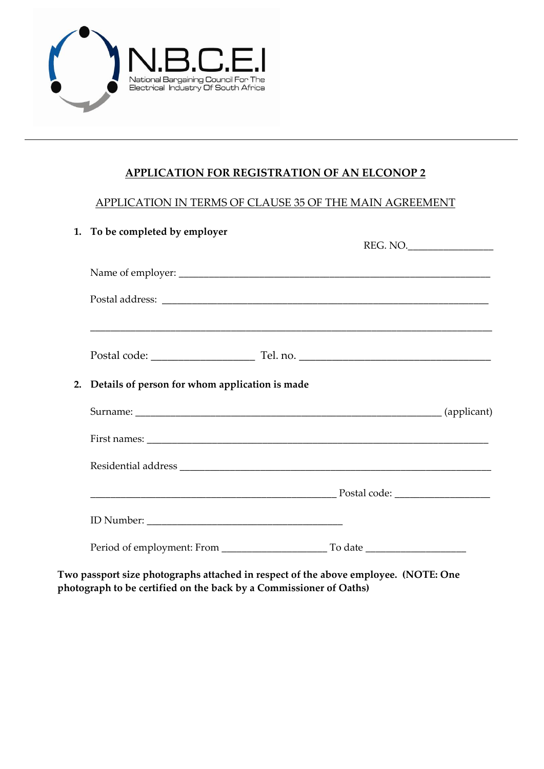

## **APPLICATION FOR REGISTRATION OF AN ELCONOP 2**

### APPLICATION IN TERMS OF CLAUSE 35 OF THE MAIN AGREEMENT

|  | 1. To be completed by employer                    | REG. NO. |
|--|---------------------------------------------------|----------|
|  |                                                   |          |
|  |                                                   |          |
|  |                                                   |          |
|  | 2. Details of person for whom application is made |          |
|  |                                                   |          |
|  |                                                   |          |
|  |                                                   |          |
|  |                                                   |          |
|  |                                                   |          |
|  |                                                   |          |

**Two passport size photographs attached in respect of the above employee. (NOTE: One photograph to be certified on the back by a Commissioner of Oaths)**